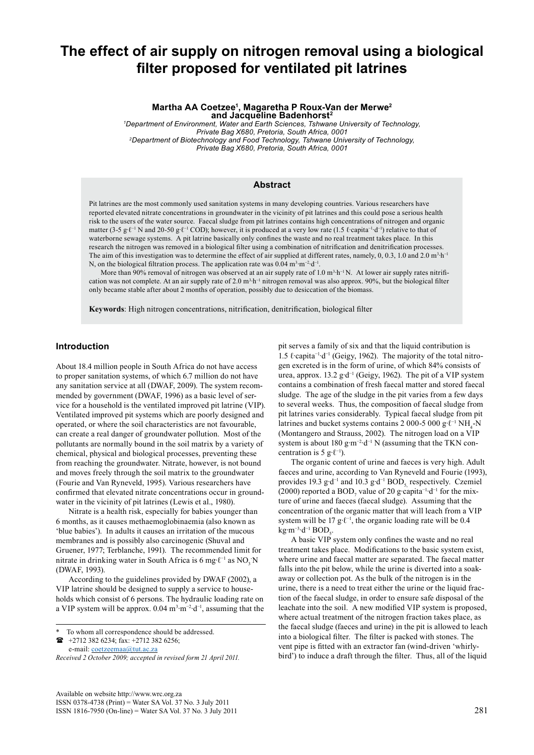# **The effect of air supply on nitrogen removal using a biological filter proposed for ventilated pit latrines**

**Martha AA Coetzee1 , Magaretha P Roux-Van der Merwe<sup>2</sup> and Jacqueline Badenhorst<sup>2</sup>**

*1 Department of Environment, Water and Earth Sciences, Tshwane University of Technology, Private Bag X680, Pretoria, South Africa, 0001 2Department of Biotechnology and Food Technology, Tshwane University of Technology, Private Bag X680, Pretoria, South Africa, 0001*

#### **Abstract**

Pit latrines are the most commonly used sanitation systems in many developing countries. Various researchers have reported elevated nitrate concentrations in groundwater in the vicinity of pit latrines and this could pose a serious health risk to the users of the water source. Faecal sludge from pit latrines contains high concentrations of nitrogen and organic matter (3-5 g⋅ℓ<sup>-1</sup> N and 20-50 g⋅ℓ<sup>-1</sup> COD); however, it is produced at a very low rate (1.5 ℓ⋅capita<sup>-1</sup>·d<sup>-1</sup>) relative to that of waterborne sewage systems. A pit latrine basically only confines the waste and no real treatment takes place. In this research the nitrogen was removed in a biological filter using a combination of nitrification and denitrification processes. The aim of this investigation was to determine the effect of air supplied at different rates, namely, 0, 0.3, 1.0 and 2.0 m<sup>3</sup>·h<sup>-1</sup> N, on the biological filtration process. The application rate was 0.04 m<sup>3</sup>⋅m<sup>-2</sup>⋅d<sup>-1</sup>.

More than 90% removal of nitrogen was observed at an air supply rate of 1.0 m<sup>3</sup>·h<sup>-1</sup> N. At lower air supply rates nitrification was not complete. At an air supply rate of 2.0 m<sup>3</sup>⋅h<sup>−1</sup> nitrogen removal was also approx. 90%, but the biological filter only became stable after about 2 months of operation, possibly due to desiccation of the biomass.

**Keywords**: High nitrogen concentrations, nitrification, denitrification, biological filter

#### **Introduction**

About 18.4 million people in South Africa do not have access to proper sanitation systems, of which 6.7 million do not have any sanitation service at all (DWAF, 2009). The system recommended by government (DWAF, 1996) as a basic level of service for a household is the ventilated improved pit latrine (VIP). Ventilated improved pit systems which are poorly designed and operated, or where the soil characteristics are not favourable, can create a real danger of groundwater pollution. Most of the pollutants are normally bound in the soil matrix by a variety of chemical, physical and biological processes, preventing these from reaching the groundwater. Nitrate, however, is not bound and moves freely through the soil matrix to the groundwater (Fourie and Van Ryneveld, 1995). Various researchers have confirmed that elevated nitrate concentrations occur in groundwater in the vicinity of pit latrines (Lewis et al., 1980).

Nitrate is a health risk, especially for babies younger than 6 months, as it causes methaemoglobinaemia (also known as 'blue babies'). In adults it causes an irritation of the mucous membranes and is possibly also carcinogenic (Shuval and Gruener, 1977; Terblanche, 1991). The recommended limit for nitrate in drinking water in South Africa is 6 mg⋅ $\ell$ <sup>-1</sup> as NO<sub>3</sub>⋅N (DWAF, 1993).

According to the guidelines provided by DWAF (2002), a VIP latrine should be designed to supply a service to households which consist of 6 persons. The hydraulic loading rate on a VIP system will be approx. 0.04 m<sup>3</sup>⋅m<sup>-2</sup>⋅d<sup>-1</sup>, assuming that the

 +2712 382 6234; fax: +2712 382 6256; e-mail: [coetzeemaa@tut.ac.za](mailto:coetzeemaa@tut.ac.za) 

pit serves a family of six and that the liquid contribution is 1.5 ℓ∙capita−1∙d−1 (Geigy, 1962). The majority of the total nitrogen excreted is in the form of urine, of which 84% consists of urea, approx. 13.2 g∙d−1 (Geigy, 1962). The pit of a VIP system contains a combination of fresh faecal matter and stored faecal sludge. The age of the sludge in the pit varies from a few days to several weeks. Thus, the composition of faecal sludge from pit latrines varies considerably. Typical faecal sludge from pit latrines and bucket systems contains 2 000-5 000 g⋅ $\ell$ <sup>-1</sup> NH<sub>4</sub>-N (Montangero and Strauss, 2002). The nitrogen load on a VIP system is about 180 g⋅m<sup>-2⋅</sup>d<sup>-1</sup> N (assuming that the TKN concentration is 5 g⋅ $\ell$ <sup>-1</sup>).

The organic content of urine and faeces is very high. Adult faeces and urine, according to Van Ryneveld and Fourie (1993), provides 19.3 g⋅d<sup>-1</sup> and 10.3 g⋅d<sup>-1</sup> BOD<sub>5</sub> respectively. Czemiel (2000) reported a BOD<sub>7</sub> value of 20 g∙capita<sup>-1</sup>∙d<sup>-1</sup> for the mixture of urine and faeces (faecal sludge). Assuming that the concentration of the organic matter that will leach from a VIP system will be 17 g⋅ $\ell^{-1}$ , the organic loading rate will be 0.4 kg∙m<sup>-3</sup>∙d<sup>-1</sup> BOD<sub>5</sub>.

A basic VIP system only confines the waste and no real treatment takes place. Modifications to the basic system exist, where urine and faecal matter are separated. The faecal matter falls into the pit below, while the urine is diverted into a soakaway or collection pot. As the bulk of the nitrogen is in the urine, there is a need to treat either the urine or the liquid fraction of the faecal sludge, in order to ensure safe disposal of the leachate into the soil. A new modified VIP system is proposed, where actual treatment of the nitrogen fraction takes place, as the faecal sludge (faeces and urine) in the pit is allowed to leach into a biological filter. The filter is packed with stones. The vent pipe is fitted with an extractor fan (wind-driven 'whirlybird') to induce a draft through the filter. Thus, all of the liquid

To whom all correspondence should be addressed.

*Received 2 October 2009; accepted in revised form 21 April 2011.*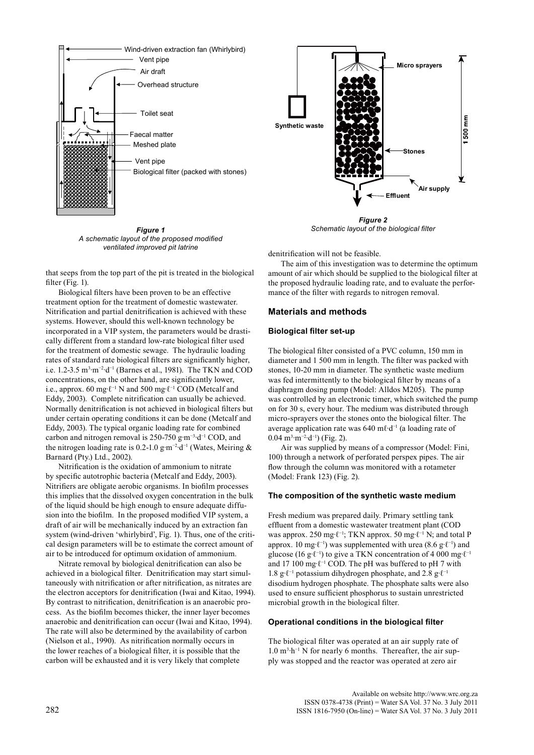

*Figure 1 A schematic layout of the proposed modified ventilated improved pit latrine*

that seeps from the top part of the pit is treated in the biological filter (Fig. 1).

Biological filters have been proven to be an effective treatment option for the treatment of domestic wastewater. Nitrification and partial denitrification is achieved with these systems. However, should this well-known technology be incorporated in a VIP system, the parameters would be drastically different from a standard low-rate biological filter used for the treatment of domestic sewage. The hydraulic loading rates of standard rate biological filters are significantly higher, i.e. 1.2-3.5 m<sup>3</sup>⋅m<sup>-2</sup>⋅d<sup>-1</sup> (Barnes et al., 1981). The TKN and COD concentrations, on the other hand, are significantly lower, i.e., approx. 60 mg⋅ $\ell^{-1}$  N and 500 mg⋅ $\ell^{-1}$  COD (Metcalf and Eddy, 2003). Complete nitrification can usually be achieved. Normally denitrification is not achieved in biological filters but under certain operating conditions it can be done (Metcalf and Eddy, 2003). The typical organic loading rate for combined carbon and nitrogen removal is 250-750 g∙m−3∙d−1 COD, and the nitrogen loading rate is 0.2-1.0 g∙m−2∙d−1 (Wates, Meiring & Barnard (Pty.) Ltd., 2002).

Nitrification is the oxidation of ammonium to nitrate by specific autotrophic bacteria (Metcalf and Eddy, 2003). Nitrifiers are obligate aerobic organisms. In biofilm processes this implies that the dissolved oxygen concentration in the bulk of the liquid should be high enough to ensure adequate diffusion into the biofilm. In the proposed modified VIP system, a draft of air will be mechanically induced by an extraction fan system (wind-driven 'whirlybird', Fig. 1). Thus, one of the critical design parameters will be to estimate the correct amount of air to be introduced for optimum oxidation of ammonium.

Nitrate removal by biological denitrification can also be achieved in a biological filter. Denitrification may start simultaneously with nitrification or after nitrification, as nitrates are the electron acceptors for denitrification (Iwai and Kitao, 1994). By contrast to nitrification, denitrification is an anaerobic process. As the biofilm becomes thicker, the inner layer becomes anaerobic and denitrification can occur (Iwai and Kitao, 1994). The rate will also be determined by the availability of carbon (Nielson et al., 1990). As nitrification normally occurs in the lower reaches of a biological filter, it is possible that the carbon will be exhausted and it is very likely that complete

*Figure 2 Schematic layout of the biological filter*

denitrification will not be feasible.

The aim of this investigation was to determine the optimum amount of air which should be supplied to the biological filter at the proposed hydraulic loading rate, and to evaluate the performance of the filter with regards to nitrogen removal.

# **Materials and methods**

#### **Biological filter set-up**

The biological filter consisted of a PVC column, 150 mm in diameter and 1 500 mm in length. The filter was packed with stones, 10-20 mm in diameter. The synthetic waste medium was fed intermittently to the biological filter by means of a diaphragm dosing pump (Model: Alldos M205). The pump was controlled by an electronic timer, which switched the pump on for 30 s, every hour. The medium was distributed through micro-sprayers over the stones onto the biological filter. The average application rate was 640 mℓ∙d−1 (a loading rate of 0.04 m<sup>3</sup>·m<sup>-2</sup>·d<sup>-1</sup>) (Fig. 2).

Air was supplied by means of a compressor (Model: Fini, 100) through a network of perforated perspex pipes. The air flow through the column was monitored with a rotameter (Model: Frank 123) (Fig. 2).

## **The composition of the synthetic waste medium**

Fresh medium was prepared daily. Primary settling tank effluent from a domestic wastewater treatment plant (COD was approx. 250 mg⋅ℓ<sup>-1</sup>; TKN approx. 50 mg⋅ℓ<sup>-1</sup> N; and total P approx. 10 mg⋅ $\ell$ <sup>-1</sup>) was supplemented with urea (8.6 g⋅ $\ell$ <sup>-1</sup>) and glucose (16 g⋅ℓ<sup>-1</sup>) to give a TKN concentration of 4 000 mg⋅ℓ<sup>-1</sup> and 17 100 mg∙ℓ−1 COD. The pH was buffered to pH 7 with 1.8 g∙ℓ−1 potassium dihydrogen phosphate, and 2.8 g∙ℓ−1 disodium hydrogen phosphate. The phosphate salts were also used to ensure sufficient phosphorus to sustain unrestricted microbial growth in the biological filter.

## **Operational conditions in the biological filter**

The biological filter was operated at an air supply rate of 1.0 m<sup>3</sup>⋅h<sup>-1</sup> N for nearly 6 months. Thereafter, the air supply was stopped and the reactor was operated at zero air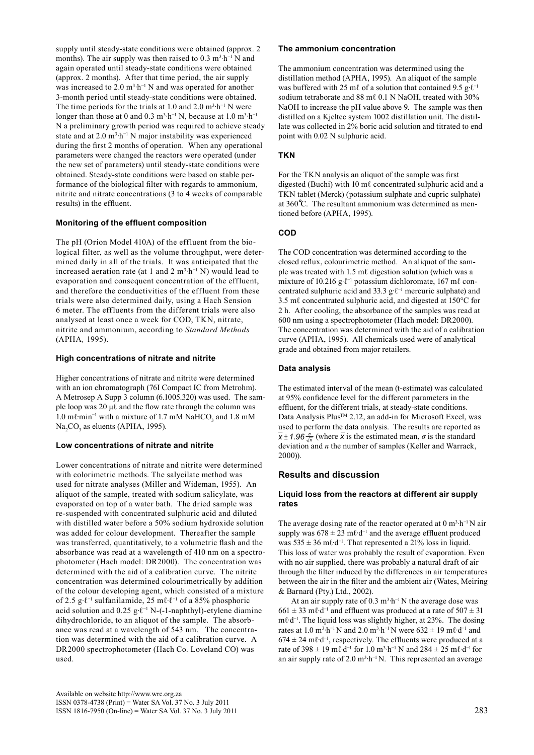supply until steady-state conditions were obtained (approx. 2 months). The air supply was then raised to  $0.3 \text{ m}^3 \cdot \text{h}^{-1}$  N and again operated until steady-state conditions were obtained (approx. 2 months). After that time period, the air supply was increased to  $2.0 \text{ m}^3 \cdot \text{h}^{-1}$  N and was operated for another 3-month period until steady-state conditions were obtained. The time periods for the trials at 1.0 and 2.0  $m<sup>3</sup>·h<sup>-1</sup> N$  were longer than those at 0 and 0.3 m<sup>3</sup>⋅h<sup>-1</sup> N, because at 1.0 m<sup>3</sup>⋅h<sup>-1</sup> N a preliminary growth period was required to achieve steady state and at  $2.0 \text{ m}^3 \cdot h^{-1}$  N major instability was experienced during the first 2 months of operation. When any operational parameters were changed the reactors were operated (under the new set of parameters) until steady-state conditions were obtained. Steady-state conditions were based on stable performance of the biological filter with regards to ammonium, nitrite and nitrate concentrations (3 to 4 weeks of comparable results) in the effluent.

# **Monitoring of the effluent composition**

The pH (Orion Model 410A) of the effluent from the biological filter, as well as the volume throughput, were determined daily in all of the trials. It was anticipated that the increased aeration rate (at 1 and 2  $m<sup>3</sup>·h<sup>-1</sup> N$ ) would lead to evaporation and consequent concentration of the effluent, and therefore the conductivities of the effluent from these trials were also determined daily, using a Hach Sension 6 meter. The effluents from the different trials were also analysed at least once a week for COD, TKN, nitrate, nitrite and ammonium, according to *Standard Methods* (APHA*,* 1995).

# **High concentrations of nitrate and nitrite**

Higher concentrations of nitrate and nitrite were determined with an ion chromatograph (76I Compact IC from Metrohm). A Metrosep A Supp 3 column (6.1005.320) was used. The sample loop was 20 μℓ and the flow rate through the column was 1.0 mℓ·min<sup>-1</sup> with a mixture of 1.7 mM NaHCO<sub>3</sub> and 1.8 mM  $\text{Na}_2\text{CO}_3$  as eluents (APHA, 1995).

# **Low concentrations of nitrate and nitrite**

Lower concentrations of nitrate and nitrite were determined with colorimetric methods. The salycilate method was used for nitrate analyses (Miller and Wideman, 1955). An aliquot of the sample, treated with sodium salicylate, was evaporated on top of a water bath. The dried sample was re-suspended with concentrated sulphuric acid and diluted with distilled water before a 50% sodium hydroxide solution was added for colour development. Thereafter the sample was transferred, quantitatively, to a volumetric flash and the absorbance was read at a wavelength of 410 nm on a spectrophotometer (Hach model: DR2000). The concentration was determined with the aid of a calibration curve. The nitrite concentration was determined colourimetrically by addition of the colour developing agent, which consisted of a mixture of 2.5 g∙ℓ−1 sulfanilamide, 25 mℓ∙ℓ−1 of a 85% phosphoric acid solution and 0.25 g⋅ $\ell$ <sup>-1</sup> N-(-1-naphthyl)-etylene diamine dihydrochloride, to an aliquot of the sample. The absorbance was read at a wavelength of 543 nm. The concentration was determined with the aid of a calibration curve. A DR2000 spectrophotometer (Hach Co. Loveland CO) was used.

## **The ammonium concentration**

The ammonium concentration was determined using the distillation method (APHA, 1995). An aliquot of the sample was buffered with 25 mℓ of a solution that contained 9.5 g⋅ $l^{-1}$ sodium tetraborate and 88 mℓ 0.1 N NaOH, treated with 30% NaOH to increase the pH value above 9. The sample was then distilled on a Kjeltec system 1002 distillation unit. The distillate was collected in 2% boric acid solution and titrated to end point with 0.02 N sulphuric acid.

# **TKN**

For the TKN analysis an aliquot of the sample was first digested (Buchi) with 10 mℓ concentrated sulphuric acid and a TKN tablet (Merck) (potassium sulphate and cupric sulphate) at 360 ̊C. The resultant ammonium was determined as mentioned before (APHA, 1995).

# **COD**

The COD concentration was determined according to the closed reflux, colourimetric method. An aliquot of the sample was treated with 1.5 mℓ digestion solution (which was a mixture of 10.216 g⋅ℓ<sup>-1</sup> potassium dichloromate, 167 mℓ concentrated sulphuric acid and 33.3 g∙ℓ−1 mercuric sulphate) and 3.5 mℓ concentrated sulphuric acid, and digested at 150°C for 2 h. After cooling, the absorbance of the samples was read at 600 nm using a spectrophotometer (Hach model: DR2000). The concentration was determined with the aid of a calibration curve (APHA, 1995). All chemicals used were of analytical grade and obtained from major retailers.

# **Data analysis**

The estimated interval of the mean (t-estimate) was calculated at 95% confidence level for the different parameters in the effluent, for the different trials, at steady-state conditions. Data Analysis Plus<sup>™</sup> 2.12, an add-in for Microsoft Excel, was used to perform the data analysis. The results are reported as  $x \pm 1.96 \frac{\sigma}{\sqrt{n}}$  (where *x* is the estimated mean, *σ* is the standard deviation and *n* the number of samples (Keller and Warrack, 2000)).

# **Results and discussion**

# **Liquid loss from the reactors at different air supply rates**

The average dosing rate of the reactor operated at  $0 \text{ m}^3 \cdot \text{h}^{-1} \text{N}$  air supply was  $678 \pm 23$  ml⋅d<sup>-1</sup> and the average effluent produced was 535 ± 36 mℓ∙d−1. That represented a 21% loss in liquid. This loss of water was probably the result of evaporation. Even with no air supplied, there was probably a natural draft of air through the filter induced by the differences in air temperatures between the air in the filter and the ambient air (Wates, Meiring & Barnard (Pty.) Ltd., 2002).

At an air supply rate of  $0.3 \text{ m}^3 \cdot \text{h}^{-1}$  N the average dose was  $661 \pm 33$  mℓ⋅d<sup>-1</sup> and effluent was produced at a rate of  $507 \pm 31$ mℓ∙d−1. The liquid loss was slightly higher, at 23%. The dosing rates at 1.0 m<sup>3</sup>⋅h<sup>-1</sup> N and 2.0 m<sup>3</sup>⋅h<sup>-1</sup> N were 632  $\pm$  19 ml⋅d<sup>-1</sup> and  $674 \pm 24$  mℓ⋅d<sup>-1</sup>, respectively. The effluents were produced at a rate of 398 ± 19 ml⋅d<sup>-1</sup> for 1.0 m<sup>3</sup>⋅h<sup>-1</sup> N and 284 ± 25 ml⋅d<sup>-1</sup> for an air supply rate of 2.0 m<sup>3</sup>⋅h<sup>-1</sup> N. This represented an average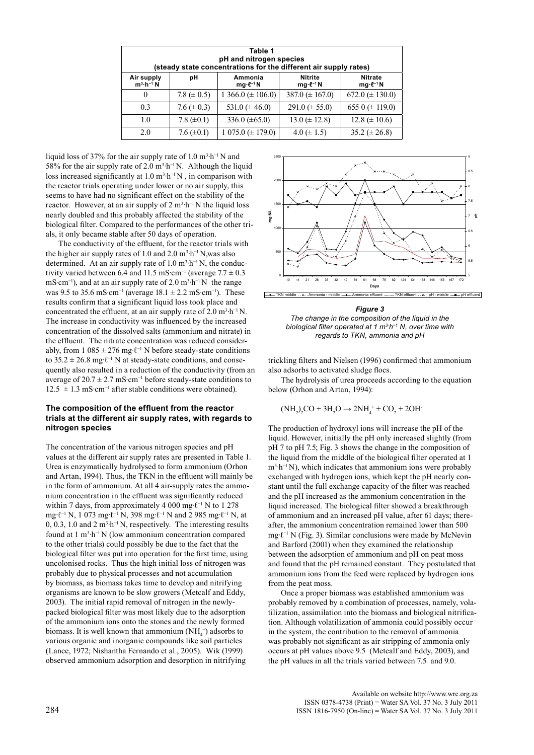| Table 1<br>pH and nitrogen species<br>(steady state concentrations for the different air supply rates) |                  |                                   |                                          |                                          |  |  |  |
|--------------------------------------------------------------------------------------------------------|------------------|-----------------------------------|------------------------------------------|------------------------------------------|--|--|--|
| Air supply<br>$m^3 \cdot h^{-1} N$                                                                     | рH               | Ammonia<br>$mq \cdot \ell^{-1} N$ | <b>Nitrite</b><br>$mg \cdot \ell^{-1} N$ | <b>Nitrate</b><br>$mg \cdot \ell^{-1} N$ |  |  |  |
| 0                                                                                                      | 7.8 ( $\pm$ 0.5) | $1\,366.0 \ (\pm 106.0)$          | 387.0 $(\pm 167.0)$                      | 672.0 ( $\pm$ 130.0)                     |  |  |  |
| 0.3                                                                                                    | 7.6 ( $\pm$ 0.3) | 531.0 $(\pm 46.0)$                | $291.0 \ (\pm 55.0)$                     | 655 0 ( $\pm$ 119.0)                     |  |  |  |
| 1.0                                                                                                    | 7.8 $(\pm 0.1)$  | 336.0 $(\pm 65.0)$                | $13.0 \ (\pm 12.8)$                      | $12.8 \ (\pm 10.6)$                      |  |  |  |
| 2.0                                                                                                    | 7.6 $(\pm 0.1)$  | $1\,075.0 \ (\pm 179.0)$          | 4.0 ( $\pm$ 1.5)                         | 35.2 ( $\pm$ 26.8)                       |  |  |  |

liquid loss of 37% for the air supply rate of 1.0  $m^3 \cdot h^{-1} N$  and 58% for the air supply rate of 2.0 m<sup>3</sup>⋅h<sup>-1</sup> N. Although the liquid loss increased significantly at  $1.0 \text{ m}^3 \cdot \text{h}^{-1} \text{N}$ , in comparison with the reactor trials operating under lower or no air supply, this seems to have had no significant effect on the stability of the reactor. However, at an air supply of  $2 \text{ m}^3 \cdot \text{h}^{-1} \text{N}$  the liquid loss nearly doubled and this probably affected the stability of the biological filter. Compared to the performances of the other trials, it only became stable after 50 days of operation.

The conductivity of the effluent, for the reactor trials with the higher air supply rates of 1.0 and 2.0  $m^3 \cdot h^{-1}$  N, was also determined. At an air supply rate of  $1.0 \text{ m}^3 \cdot \text{h}^{-1} \text{N}$ , the conductivity varied between 6.4 and 11.5 mS⋅cm<sup>-1</sup> (average  $7.7 \pm 0.3$ ) mS⋅cm<sup>-1</sup>), and at an air supply rate of 2.0 m<sup>3</sup>⋅h<sup>-1</sup> N the range was 9.5 to 35.6 mS⋅cm<sup>-1</sup> (average  $18.1 \pm 2.2$  mS⋅cm<sup>-1</sup>). These results confirm that a significant liquid loss took place and concentrated the effluent, at an air supply rate of  $2.0 \text{ m}^3 \cdot \text{h}^{-1} \text{N}$ . The increase in conductivity was influenced by the increased concentration of the dissolved salts (ammonium and nitrate) in the effluent. The nitrate concentration was reduced considerably, from 1 085 ± 276 mg⋅ $\ell$ <sup>-1</sup> N before steady-state conditions to  $35.2 \pm 26.8$  mg⋅ $\ell^{-1}$  N at steady-state conditions, and consequently also resulted in a reduction of the conductivity (from an average of  $20.7 \pm 2.7$  mS⋅cm<sup>-1</sup> before steady-state conditions to  $12.5 \pm 1.3 \text{ mS} \cdot \text{cm}^{-1}$  after stable conditions were obtained).

## **The composition of the effluent from the reactor trials at the different air supply rates, with regards to nitrogen species**

The concentration of the various nitrogen species and pH values at the different air supply rates are presented in Table 1. Urea is enzymatically hydrolysed to form ammonium (Orhon and Artan, 1994). Thus, the TKN in the effluent will mainly be in the form of ammonium. At all 4 air-supply rates the ammonium concentration in the effluent was significantly reduced within 7 days, from approximately 4 000 mg⋅ $\ell$ <sup>-1</sup> N to 1 278 mg∙ℓ−1 N, 1 073 mg∙ℓ−1 N, 398 mg∙ℓ−1 N and 2 985 mg∙ℓ−1 N, at 0, 0.3, 1.0 and 2 m<sup>3</sup>⋅h<sup>-1</sup> N, respectively. The interesting results found at 1 m<sup>3</sup>⋅h<sup>-1</sup> N (low ammonium concentration compared to the other trials) could possibly be due to the fact that the biological filter was put into operation for the first time, using uncolonised rocks. Thus the high initial loss of nitrogen was probably due to physical processes and not accumulation by biomass, as biomass takes time to develop and nitrifying organisms are known to be slow growers (Metcalf and Eddy, 2003). The initial rapid removal of nitrogen in the newlypacked biological filter was most likely due to the adsorption of the ammonium ions onto the stones and the newly formed biomass. It is well known that ammonium  $(NH_4^+)$  adsorbs to various organic and inorganic compounds like soil particles (Lance, 1972; Nishantha Fernando et al., 2005). Wik (1999) observed ammonium adsorption and desorption in nitrifying



*Figure 3*

*The change in the composition of the liquid in the biological filter operated at 1 m3∙h−1 N, over time with regards to TKN, ammonia and pH*

trickling filters and Nielsen (1996) confirmed that ammonium also adsorbs to activated sludge flocs.

The hydrolysis of urea proceeds according to the equation below (Orhon and Artan, 1994):

$$
(NH_2)_2CO + 3H_2O \rightarrow 2NH_4^+ + CO_2 + 2OH^+
$$

The production of hydroxyl ions will increase the pH of the liquid. However, initially the pH only increased slightly (from pH 7 to pH 7.5; Fig. 3 shows the change in the composition of the liquid from the middle of the biological filter operated at 1 m<sup>3</sup>⋅h<sup>-1</sup> N), which indicates that ammonium ions were probably exchanged with hydrogen ions, which kept the pH nearly constant until the full exchange capacity of the filter was reached and the pH increased as the ammonium concentration in the liquid increased. The biological filter showed a breakthrough of ammonium and an increased pH value, after 61 days; thereafter, the ammonium concentration remained lower than 500 mg∙ℓ−1 N (Fig. 3). Similar conclusions were made by McNevin and Barford (2001) when they examined the relationship between the adsorption of ammonium and pH on peat moss and found that the pH remained constant. They postulated that ammonium ions from the feed were replaced by hydrogen ions from the peat moss.

Once a proper biomass was established ammonium was probably removed by a combination of processes, namely, volatilization, assimilation into the biomass and biological nitrification. Although volatilization of ammonia could possibly occur in the system, the contribution to the removal of ammonia was probably not significant as air stripping of ammonia only occurs at pH values above 9.5 (Metcalf and Eddy, 2003), and the pH values in all the trials varied between 7.5 and 9.0.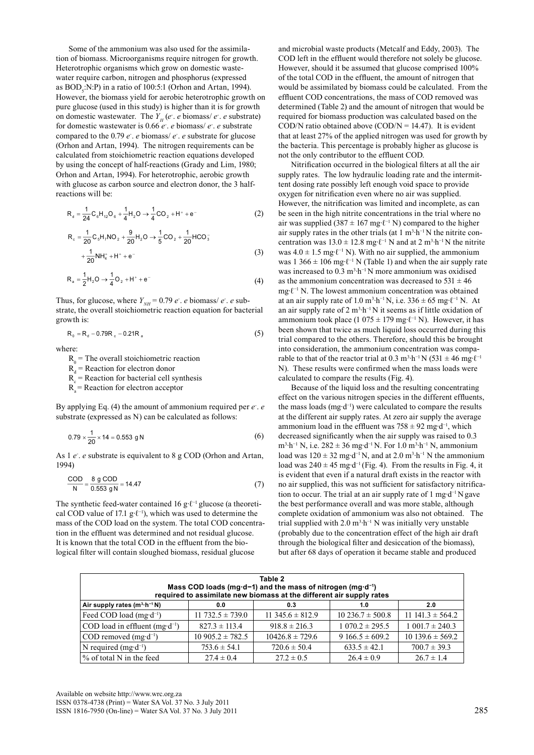Some of the ammonium was also used for the assimilation of biomass. Microorganisms require nitrogen for growth. Heterotrophic organisms which grow on domestic wastewater require carbon, nitrogen and phosphorus (expressed as  $BOD<sub>5</sub>:N:P$ ) in a ratio of 100:5:1 (Orhon and Artan, 1994). However, the biomass yield for aerobic heterotrophic growth on pure glucose (used in this study) is higher than it is for growth on domestic wastewater. The  $Y_H(e^t \cdot e)$  biomass/ $e^t \cdot e$  substrate) for domestic wastewater is 0.66 *e-* . *e* biomass/ *e-* . *e* substrate compared to the 0.79 *e-* . *e* biomass/ *e-* . *e* substrate for glucose (Orhon and Artan, 1994). The nitrogen requirements can be calculated from stoichiometric reaction equations developed by using the concept of half-reactions (Grady and Lim, 1980; Orhon and Artan, 1994). For heterotrophic, aerobic growth with glucose as carbon source and electron donor, the 3 halfreactions will be:

$$
R_{d} = \frac{1}{24} C_{6} H_{12} O_{6} + \frac{1}{4} H_{2} O \rightarrow \frac{1}{4} CO_{2} + H^{+} + e^{-}
$$
 (2)

$$
R_c = \frac{1}{20} C_s H_7 N O_2 + \frac{9}{20} H_2 O \rightarrow \frac{1}{5} CO_2 + \frac{1}{20} H CO_3^- + \frac{1}{20} N H_4^* + H^* + e^-
$$
\n(3)

$$
R_a = \frac{1}{2}H_2O \rightarrow \frac{1}{4}O_2 + H^+ + e^-
$$
 (4)

Thus, for glucose, where  $Y_{NH} = 0.79 e$ . *e* biomass/ *e*. *e* substrate, the overall stoichiometric reaction equation for bacterial growth is:

$$
R_0 = R_d - 0.79R_c - 0.21R_a
$$
 (5)

where:

 $R_0$  = The overall stoichiometric reaction

 $R_d$  = Reaction for electron donor

 $R_c$  = Reaction for bacterial cell synthesis

 $R<sub>a</sub>$  = Reaction for electron acceptor

By applying Eq. (4) the amount of ammonium required per *e*. *e* substrate (expressed as N) can be calculated as follows:

$$
0.79 \times \frac{1}{20} \times 14 = 0.553 \text{ g N} \tag{6}
$$

As 1 *e*. *e* substrate is equivalent to 8 g COD (Orhon and Artan, 1994)

$$
\frac{COD}{N} = \frac{8 \text{ g } COD}{0.553 \text{ g N}} = 14.47
$$
 (7)

The synthetic feed-water contained 16 g⋅ $\ell^{-1}$  glucose (a theoretical COD value of 17.1 g⋅ $\ell^{-1}$ ), which was used to determine the mass of the COD load on the system. The total COD concentration in the effluent was determined and not residual glucose. It is known that the total COD in the effluent from the biological filter will contain sloughed biomass, residual glucose

and microbial waste products (Metcalf and Eddy, 2003). The COD left in the effluent would therefore not solely be glucose. However, should it be assumed that glucose comprised 100% of the total COD in the effluent, the amount of nitrogen that would be assimilated by biomass could be calculated. From the effluent COD concentrations, the mass of COD removed was determined (Table 2) and the amount of nitrogen that would be required for biomass production was calculated based on the  $\text{COD/N}$  ratio obtained above  $(\text{COD/N} = 14.47)$ . It is evident that at least 27% of the applied nitrogen was used for growth by the bacteria. This percentage is probably higher as glucose is not the only contributor to the effluent COD.

Nitrification occurred in the biological filters at all the air supply rates. The low hydraulic loading rate and the intermittent dosing rate possibly left enough void space to provide oxygen for nitrification even where no air was supplied. However, the nitrification was limited and incomplete, as can be seen in the high nitrite concentrations in the trial where no air was supplied (387 ± 167 mg⋅ $\ell$ <sup>-1</sup> N) compared to the higher air supply rates in the other trials (at  $1 \text{ m}^3 \cdot \text{h}^{-1}$  N the nitrite concentration was  $13.0 \pm 12.8$  mg⋅ $\ell$ <sup>-1</sup> N and at 2 m<sup>3</sup>⋅h<sup>-1</sup> N the nitrite was  $4.0 \pm 1.5$  mg⋅ $\ell$ <sup>-1</sup> N). With no air supplied, the ammonium was 1 366  $\pm$  106 mg⋅ $\ell$ <sup>-1</sup> N (Table 1) and when the air supply rate was increased to  $0.3 \text{ m}^3 \cdot \text{h}^{-1} \text{N}$  more ammonium was oxidised as the ammonium concentration was decreased to  $531 \pm 46$ mg∙ℓ−1 N. The lowest ammonium concentration was obtained at an air supply rate of 1.0 m<sup>3</sup>·h<sup>-1</sup> N, i.e.  $336 \pm 65$  mg⋅l<sup>-1</sup> N. At an air supply rate of  $2 \text{ m}^3 \cdot \text{h}^{-1}$  N it seems as if little oxidation of ammonium took place (1 075 ± 179 mg⋅ $\ell$ <sup>-1</sup> N). However, it has been shown that twice as much liquid loss occurred during this trial compared to the others. Therefore, should this be brought into consideration, the ammonium concentration was comparable to that of the reactor trial at 0.3 m<sup>3</sup>⋅h<sup>-1</sup> N (531  $\pm$  46 mg⋅l<sup>-1</sup> N). These results were confirmed when the mass loads were calculated to compare the results (Fig. 4).

Because of the liquid loss and the resulting concentrating effect on the various nitrogen species in the different effluents, the mass loads (mg∙d−1) were calculated to compare the results at the different air supply rates. At zero air supply the average ammonium load in the effluent was  $758 \pm 92$  mg⋅d<sup>-1</sup>, which decreased significantly when the air supply was raised to 0.3 m<sup>3</sup>⋅h<sup>-1</sup> N, i.e. 282 ± 36 mg⋅d<sup>-1</sup> N. For 1.0 m<sup>3</sup>⋅h<sup>-1</sup> N, ammonium load was  $120 \pm 32$  mg⋅d<sup>-1</sup> N, and at 2.0 m<sup>3</sup>⋅h<sup>-1</sup> N the ammonium load was  $240 \pm 45$  mg⋅d<sup>-1</sup> (Fig. 4). From the results in Fig. 4, it is evident that even if a natural draft exists in the reactor with no air supplied, this was not sufficient for satisfactory nitrification to occur. The trial at an air supply rate of 1 mg∙d−1 N gave the best performance overall and was more stable, although complete oxidation of ammonium was also not obtained. The trial supplied with  $2.0 \text{ m}^3 \cdot \text{h}^{-1}$  N was initially very unstable (probably due to the concentration effect of the high air draft through the biological filter and desiccation of the biomass), but after 68 days of operation it became stable and produced

| Table 2<br>Mass COD loads (mg·d-1) and the mass of nitrogen (mg·d <sup>-1</sup> )<br>required to assimilate new biomass at the different air supply rates |                       |                       |                       |                      |  |  |  |
|-----------------------------------------------------------------------------------------------------------------------------------------------------------|-----------------------|-----------------------|-----------------------|----------------------|--|--|--|
| Air supply rates $(m^3 \cdot h^{-1} N)$                                                                                                                   | 0.0                   | 0.3                   | 1.0                   | 2.0                  |  |  |  |
| Feed COD load (mg·d <sup>-1</sup> )                                                                                                                       | $11\,732.5 \pm 739.0$ | $11\,345.6 \pm 812.9$ | $10\,236.7 \pm 500.8$ | 11 $141.3 \pm 564.2$ |  |  |  |
| COD load in effluent (mg·d <sup>-1</sup> )                                                                                                                | $827.3 \pm 113.4$     | $918.8 \pm 216.3$     | $1.070.2 \pm 295.5$   | $1\,001.7 \pm 240.3$ |  |  |  |
| COD removed $(mg \cdot d^{-1})$                                                                                                                           | $10\,905.2 \pm 782.5$ | $10426.8 \pm 729.6$   | 9 $166.5 \pm 609.2$   | $10139.6 \pm 569.2$  |  |  |  |
| N required (mg·d <sup>-1</sup> )                                                                                                                          | $753.6 \pm 54.1$      | $720.6 \pm 50.4$      | $633.5 \pm 42.1$      | $700.7 \pm 39.3$     |  |  |  |
| $\frac{1}{6}$ of total N in the feed                                                                                                                      | $27.4 \pm 0.4$        | $27.2 \pm 0.5$        | $26.4 \pm 0.9$        | $26.7 \pm 1.4$       |  |  |  |

Available on website http://www.wrc.org.za ISSN 0378-4738 (Print) = Water SA Vol. 37 No. 3 July 2011 ISSN 1816-7950 (On-line) = Water SA Vol. 37 No. 3 July 2011 285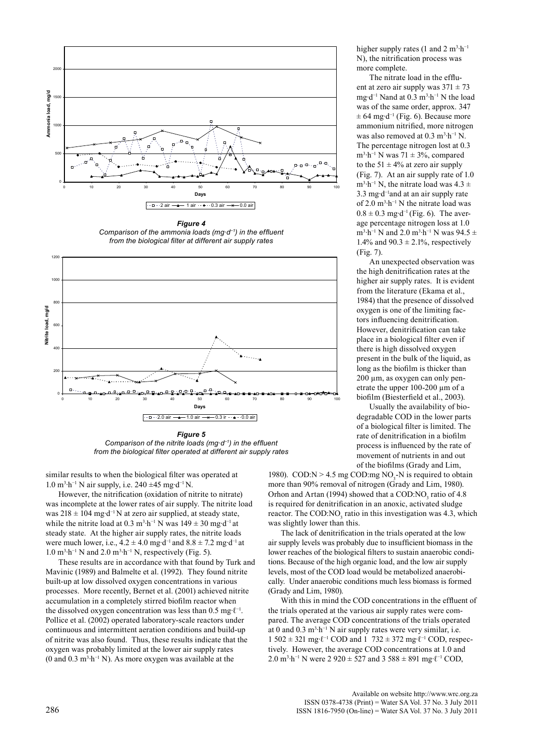

*Comparison of the ammonia loads (mg∙d−1) in the effluent from the biological filter at different air supply rates*



*Figure 5 Comparison of the nitrite loads (mg∙d−1) in the effluent from the biological filter operated at different air supply rates*

similar results to when the biological filter was operated at 1.0 m3 ∙h−1 N air supply, i.e. 240 ±45 mg∙d−1 N.

However, the nitrification (oxidation of nitrite to nitrate) was incomplete at the lower rates of air supply. The nitrite load was 218 ± 104 mg∙d−1 N at zero air supplied, at steady state, while the nitrite load at 0.3 m<sup>3</sup>⋅h<sup>-1</sup> N was 149  $\pm$  30 mg⋅d<sup>-1</sup> at steady state. At the higher air supply rates, the nitrite loads were much lower, i.e.,  $4.2 \pm 4.0$  mg⋅d<sup>-1</sup> and  $8.8 \pm 7.2$  mg⋅d<sup>-1</sup> at 1.0 m<sup>3</sup>⋅h<sup>-1</sup> N and 2.0 m<sup>3</sup>⋅h<sup>-1</sup> N, respectively (Fig. 5).

These results are in accordance with that found by Turk and Mavinic (1989) and Balmelte et al. (1992). They found nitrite built-up at low dissolved oxygen concentrations in various processes. More recently, Bernet et al. (2001) achieved nitrite accumulation in a completely stirred biofilm reactor when the dissolved oxygen concentration was less than 0.5 mg⋅ $\ell$ <sup>-1</sup>. Pollice et al. (2002) operated laboratory-scale reactors under continuous and intermittent aeration conditions and build-up of nitrite was also found. Thus, these results indicate that the oxygen was probably limited at the lower air supply rates (0 and 0.3 m<sup>3</sup>⋅h<sup>-1</sup> N). As more oxygen was available at the

higher supply rates (1 and 2 m<sup>3</sup>·h<sup>-1</sup> N), the nitrification process was more complete.

The nitrate load in the effluent at zero air supply was  $371 \pm 73$ mg∙d−1 Nand at 0.3 m3 ∙h−1 N the load was of the same order, approx. 347  $± 64$  mg⋅d<sup>-1</sup> (Fig. 6). Because more ammonium nitrified, more nitrogen was also removed at  $0.3 \text{ m}^3 \cdot \text{h}^{-1} \text{ N}$ . The percentage nitrogen lost at 0.3 m<sup>3</sup>⋅h<sup>-1</sup> N was 71  $\pm$  3%, compared to the 51  $\pm$  4% at zero air supply (Fig. 7). At an air supply rate of 1.0  $m^3 \cdot h^{-1}$  N, the nitrate load was 4.3 ± 3.3 mg∙d−1and at an air supply rate of 2.0 m3 ∙h−1 N the nitrate load was  $0.8 \pm 0.3$  mg⋅d<sup>-1</sup> (Fig. 6). The average percentage nitrogen loss at 1.0  $m^3 \cdot h^{-1}$  N and 2.0  $m^3 \cdot h^{-1}$  N was 94.5  $\pm$ 1.4% and  $90.3 \pm 2.1$ %, respectively (Fig. 7).

An unexpected observation was the high denitrification rates at the higher air supply rates. It is evident from the literature (Ekama et al., 1984) that the presence of dissolved oxygen is one of the limiting factors influencing denitrification. However, denitrification can take place in a biological filter even if there is high dissolved oxygen present in the bulk of the liquid, as long as the biofilm is thicker than 200 µm, as oxygen can only penetrate the upper 100-200 µm of a biofilm (Biesterfield et al., 2003).

Usually the availability of biodegradable COD in the lower parts of a biological filter is limited. The rate of denitrification in a biofilm process is influenced by the rate of movement of nutrients in and out of the biofilms (Grady and Lim,

1980). COD: $N > 4.5$  mg COD:mg NO<sub>3</sub>-N is required to obtain more than 90% removal of nitrogen (Grady and Lim, 1980). Orhon and Artan (1994) showed that a COD: $NO<sub>3</sub>$  ratio of 4.8 is required for denitrification in an anoxic, activated sludge reactor. The COD: $NO<sub>3</sub>$  ratio in this investigation was 4.3, which was slightly lower than this.

The lack of denitrification in the trials operated at the low air supply levels was probably due to insufficient biomass in the lower reaches of the biological filters to sustain anaerobic conditions. Because of the high organic load, and the low air supply levels, most of the COD load would be metabolized anaerobically. Under anaerobic conditions much less biomass is formed (Grady and Lim, 1980).

With this in mind the COD concentrations in the effluent of the trials operated at the various air supply rates were compared. The average COD concentrations of the trials operated at 0 and  $0.3 \text{ m}^3 \cdot \text{h}^{-1}$  N air supply rates were very similar, i.e. 1 502 ± 321 mg∙ℓ−1 COD and 1 732 ± 372 mg∙ℓ−1 COD, respectively. However, the average COD concentrations at 1.0 and 2.0 m<sup>3</sup>⋅h<sup>-1</sup> N were 2 920  $\pm$  527 and 3 588  $\pm$  891 mg⋅ $\ell$ <sup>-1</sup> COD,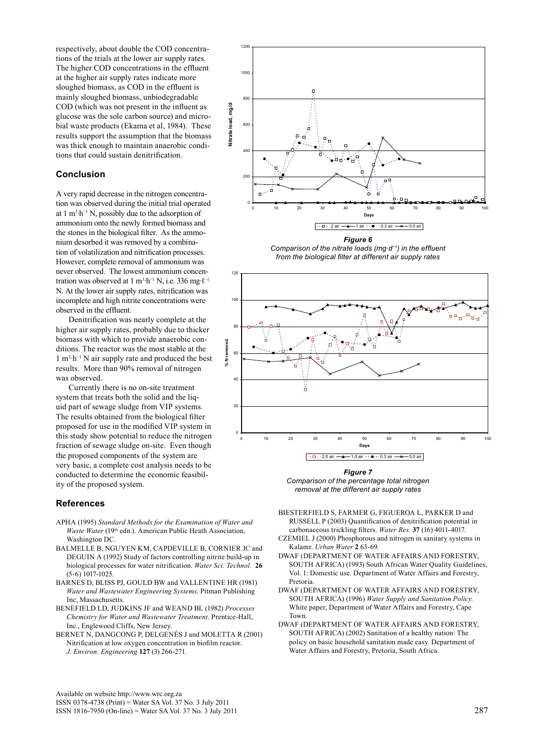respectively, about double the COD concentrations of the trials at the lower air supply rates. The higher COD concentrations in the effluent at the higher air supply rates indicate more sloughed biomass, as COD in the effluent is mainly sloughed biomass, unbiodegradable COD (which was not present in the influent as glucose was the sole carbon source) and microbial waste products (Ekama et al, 1984). These results support the assumption that the biomass was thick enough to maintain anaerobic conditions that could sustain denitrification.

# **Conclusion**

A very rapid decrease in the nitrogen concentration was observed during the initial trial operated at 1  $m<sup>3</sup> h<sup>-1</sup> N$ , possibly due to the adsorption of ammonium onto the newly formed biomass and the stones in the biological filter. As the ammonium desorbed it was removed by a combination of volatilization and nitrification processes. However, complete removal of ammonium was never observed. The lowest ammonium concentration was observed at 1 m<sup>3</sup>⋅h<sup>-1</sup> N, i.e. 336 mg⋅ $\ell$ <sup>-1</sup> N. At the lower air supply rates, nitrification was incomplete and high nitrite concentrations were observed in the effluent.

Denitrification was nearly complete at the higher air supply rates, probably due to thicker biomass with which to provide anaerobic conditions. The reactor was the most stable at the 1 m3 ∙h−1 N air supply rate and produced the best results. More than 90% removal of nitrogen was observed.

Currently there is no on-site treatment system that treats both the solid and the liquid part of sewage sludge from VIP systems. The results obtained from the biological filter proposed for use in the modified VIP system in this study show potential to reduce the nitrogen fraction of sewage sludge on-site. Even though the proposed components of the system are very basic, a complete cost analysis needs to be conducted to determine the economic feasibility of the proposed system.

## **References**

- APHA (1995) *Standard Methods for the Examination of Water and Waste Water* (19<sup>th</sup> edn.). American Public Heath Association, Washington DC.
- BALMELLE B, NGUYEN KM, CAPDEVILLE B, CORNIER JC and DEGUIN A (1992) Study of factors controlling nitrite build-up in biological processes for water nitrification. *Water Sci. Technol.* **26** (5-6) 1017-1025.
- BARNES D, BLISS PJ, GOULD BW and VALLENTINE HR (1981) *Water and Wastewater Engineering Systems*. Pitman Publishing Inc, Massachusetts.
- BENEFIELD LD, JUDKINS JF and WEAND BL (1982) *Processes Chemistry for Water and Wastewater Treatment*. Prentice-Hall, Inc., Englewood Cliffs, New Jersey.
- BERNET N, DANGCONG P, DELGENÉS J and MOLETTA R (2001) Nitrification at low oxygen concentration in biofilm reactor. *J. Environ. Engineering* **127** (3) 266-271.

Available on website http://www.wrc.org.za ISSN 0378-4738 (Print) = Water SA Vol. 37 No. 3 July 2011 ISSN 1816-7950 (On-line) = Water SA Vol. 37 No. 3 July 2011 287



*Figure 6 Comparison of the nitrate loads (mg∙d−1) in the effluent from the biological filter at different air supply rates*



*Figure 7 Comparison of the percentage total nitrogen removal at the different air supply rates*

- BIESTERFIELD S, FARMER G, FIGUEROA L, PARKER D and RUSSELL P (2003) Quantification of denitrification potential in carbonaceous trickling filters. *Water Res.* **37** (16) 4011-4017.
- CZEMIEL J (2000) Phosphorous and nitrogen in sanitary systems in Kalamr. *Urban Water* **2** 63-69.
- DWAF (Department of Water Affairs and Forestry, SOUTH AFRICA) (1993) South African Water Quality Guidelines, Vol. 1: Domestic use. Department of Water Affairs and Forestry, Pretoria.
- DWAF (Department of Water Affairs and Forestry, South Africa) (1996) *Water Supply and Sanitation Policy.*  White paper, Department of Water Affairs and Forestry, Cape Town.
- DWAF (Department of Water Affairs and Forestry, SOUTH AFRICA) (2002) Sanitation of a healthy nation: The policy on basic household sanitation made easy. Department of Water Affairs and Forestry, Pretoria, South Africa.